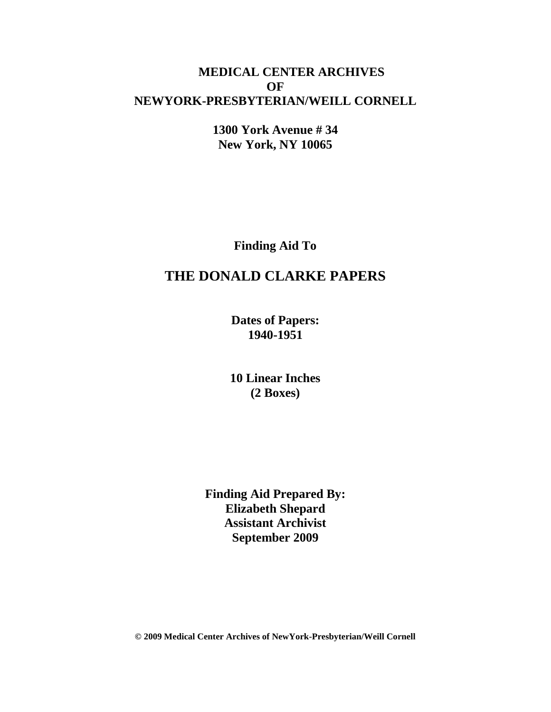## **MEDICAL CENTER ARCHIVES OF NEWYORK-PRESBYTERIAN/WEILL CORNELL**

**1300 York Avenue # 34 New York, NY 10065**

**Finding Aid To**

# **THE DONALD CLARKE PAPERS**

**Dates of Papers: 1940-1951**

**10 Linear Inches (2 Boxes)**

**Finding Aid Prepared By: Elizabeth Shepard Assistant Archivist September 2009**

**© 2009 Medical Center Archives of NewYork-Presbyterian/Weill Cornell**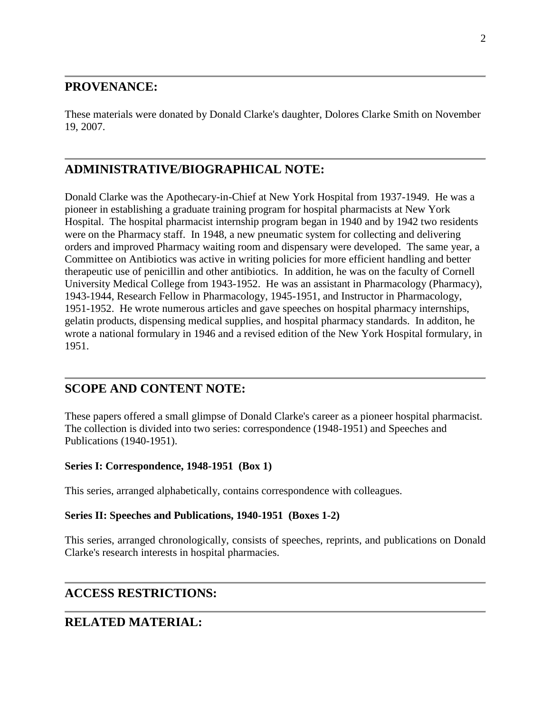## **PROVENANCE:**

These materials were donated by Donald Clarke's daughter, Dolores Clarke Smith on November 19, 2007.

## **ADMINISTRATIVE/BIOGRAPHICAL NOTE:**

Donald Clarke was the Apothecary-in-Chief at New York Hospital from 1937-1949. He was a pioneer in establishing a graduate training program for hospital pharmacists at New York Hospital. The hospital pharmacist internship program began in 1940 and by 1942 two residents were on the Pharmacy staff. In 1948, a new pneumatic system for collecting and delivering orders and improved Pharmacy waiting room and dispensary were developed. The same year, a Committee on Antibiotics was active in writing policies for more efficient handling and better therapeutic use of penicillin and other antibiotics. In addition, he was on the faculty of Cornell University Medical College from 1943-1952. He was an assistant in Pharmacology (Pharmacy), 1943-1944, Research Fellow in Pharmacology, 1945-1951, and Instructor in Pharmacology, 1951-1952. He wrote numerous articles and gave speeches on hospital pharmacy internships, gelatin products, dispensing medical supplies, and hospital pharmacy standards. In additon, he wrote a national formulary in 1946 and a revised edition of the New York Hospital formulary, in 1951.

## **SCOPE AND CONTENT NOTE:**

These papers offered a small glimpse of Donald Clarke's career as a pioneer hospital pharmacist. The collection is divided into two series: correspondence (1948-1951) and Speeches and Publications (1940-1951).

#### **Series I: Correspondence, 1948-1951 (Box 1)**

This series, arranged alphabetically, contains correspondence with colleagues.

#### **Series II: Speeches and Publications, 1940-1951 (Boxes 1-2)**

This series, arranged chronologically, consists of speeches, reprints, and publications on Donald Clarke's research interests in hospital pharmacies.

## **ACCESS RESTRICTIONS:**

## **RELATED MATERIAL:**